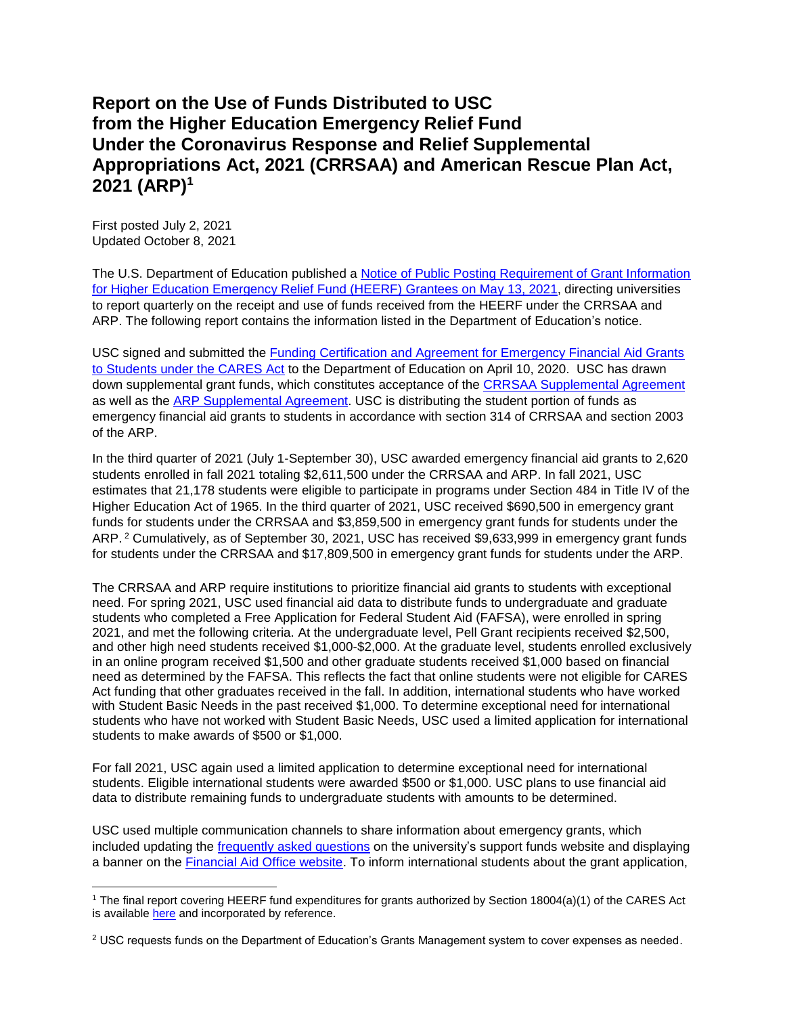## **Report on the Use of Funds Distributed to USC from the Higher Education Emergency Relief Fund Under the Coronavirus Response and Relief Supplemental Appropriations Act, 2021 (CRRSAA) and American Rescue Plan Act, 2021 (ARP)<sup>1</sup>**

First posted July 2, 2021 Updated October 8, 2021

 $\overline{a}$ 

The U.S. Department of Education published a [Notice of Public Posting Requirement of Grant Information](https://www.federalregister.gov/documents/2021/05/13/2021-10196/notice-of-public-posting-requirement-of-grant-information-for-higher-education-emergency-relief-fund)  for Higher Education Emergency Relief [Fund \(HEERF\) Grantees on May 13, 2021,](https://www.federalregister.gov/documents/2021/05/13/2021-10196/notice-of-public-posting-requirement-of-grant-information-for-higher-education-emergency-relief-fund) directing universities to report quarterly on the receipt and use of funds received from the HEERF under the CRRSAA and ARP. The following report contains the information listed in the Department of Education's notice.

USC signed and submitted the Funding Certification and Agreement [for Emergency Financial Aid Grants](https://www2.ed.gov/about/offices/list/ope/heerfstudentscertificationagreement42020a.pdf)  [to Students under the CARES Act](https://www2.ed.gov/about/offices/list/ope/heerfstudentscertificationagreement42020a.pdf) to the Department of Education on April 10, 2020. USC has drawn down supplemental grant funds, which constitutes acceptance of the [CRRSAA Supplemental Agreement](https://www2.ed.gov/about/offices/list/ope/supplementalagreement314a1s.pdf) as well as the [ARP Supplemental Agreement.](https://www2.ed.gov/about/offices/list/ope/arpheerfiiisupplementa1student.pdf) USC is distributing the student portion of funds as emergency financial aid grants to students in accordance with section 314 of CRRSAA and section 2003 of the ARP.

In the third quarter of 2021 (July 1-September 30), USC awarded emergency financial aid grants to 2,620 students enrolled in fall 2021 totaling \$2,611,500 under the CRRSAA and ARP. In fall 2021, USC estimates that 21,178 students were eligible to participate in programs under Section 484 in Title IV of the Higher Education Act of 1965. In the third quarter of 2021, USC received \$690,500 in emergency grant funds for students under the CRRSAA and \$3,859,500 in emergency grant funds for students under the ARP.<sup>2</sup> Cumulatively, as of September 30, 2021, USC has received \$9,633,999 in emergency grant funds for students under the CRRSAA and \$17,809,500 in emergency grant funds for students under the ARP.

The CRRSAA and ARP require institutions to prioritize financial aid grants to students with exceptional need. For spring 2021, USC used financial aid data to distribute funds to undergraduate and graduate students who completed a Free Application for Federal Student Aid (FAFSA), were enrolled in spring 2021, and met the following criteria. At the undergraduate level, Pell Grant recipients received \$2,500, and other high need students received \$1,000-\$2,000. At the graduate level, students enrolled exclusively in an online program received \$1,500 and other graduate students received \$1,000 based on financial need as determined by the FAFSA. This reflects the fact that online students were not eligible for CARES Act funding that other graduates received in the fall. In addition, international students who have worked with Student Basic Needs in the past received \$1,000. To determine exceptional need for international students who have not worked with Student Basic Needs, USC used a limited application for international students to make awards of \$500 or \$1,000.

For fall 2021, USC again used a limited application to determine exceptional need for international students. Eligible international students were awarded \$500 or \$1,000. USC plans to use financial aid data to distribute remaining funds to undergraduate students with amounts to be determined.

USC used multiple communication channels to share information about emergency grants, which included updating the [frequently asked questions](https://we-are.usc.edu/faqs/faq-support-funds/) on the university's support funds website and displaying a banner on the [Financial Aid Office website.](https://financialaid.usc.edu/) To inform international students about the grant application,

<sup>1</sup> The final report covering HEERF fund expenditures for grants authorized by Section 18004(a)(1) of the CARES Act is available [here](https://we-are.usc.edu/wp-content/uploads/2021/04/CARES-Act-Quarterly-Report-April-2021-FINAL.pdf) and incorporated by reference.

<sup>&</sup>lt;sup>2</sup> USC requests funds on the Department of Education's Grants Management system to cover expenses as needed.